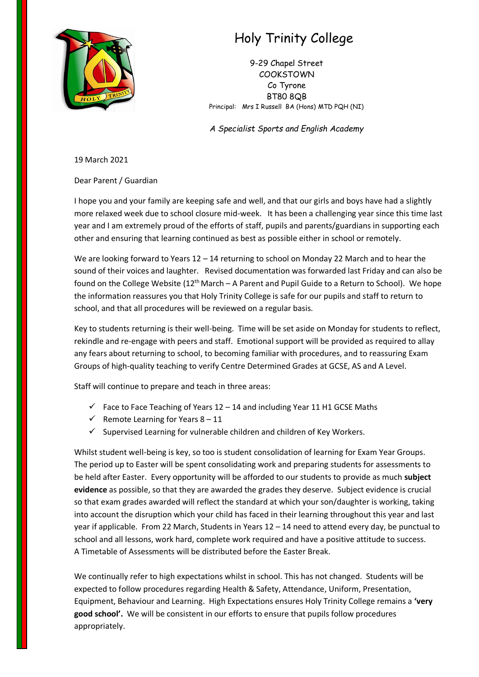

## Holy Trinity College

9-29 Chapel Street COOKSTOWN Co Tyrone BT80 8QB Principal: Mrs I Russell BA (Hons) MTD PQH (NI)

*A Specialist Sports and English Academy*

19 March 2021

Dear Parent / Guardian

I hope you and your family are keeping safe and well, and that our girls and boys have had a slightly more relaxed week due to school closure mid-week. It has been a challenging year since this time last year and I am extremely proud of the efforts of staff, pupils and parents/guardians in supporting each other and ensuring that learning continued as best as possible either in school or remotely.

We are looking forward to Years 12 – 14 returning to school on Monday 22 March and to hear the sound of their voices and laughter. Revised documentation was forwarded last Friday and can also be found on the College Website  $(12^{th}$  March – A Parent and Pupil Guide to a Return to School). We hope the information reassures you that Holy Trinity College is safe for our pupils and staff to return to school, and that all procedures will be reviewed on a regular basis.

Key to students returning is their well-being. Time will be set aside on Monday for students to reflect, rekindle and re-engage with peers and staff. Emotional support will be provided as required to allay any fears about returning to school, to becoming familiar with procedures, and to reassuring Exam Groups of high-quality teaching to verify Centre Determined Grades at GCSE, AS and A Level.

Staff will continue to prepare and teach in three areas:

- $\checkmark$  Face to Face Teaching of Years 12 14 and including Year 11 H1 GCSE Maths
- $\checkmark$  Remote Learning for Years 8 11
- $\checkmark$  Supervised Learning for vulnerable children and children of Key Workers.

Whilst student well-being is key, so too is student consolidation of learning for Exam Year Groups. The period up to Easter will be spent consolidating work and preparing students for assessments to be held after Easter. Every opportunity will be afforded to our students to provide as much **subject evidence** as possible, so that they are awarded the grades they deserve. Subject evidence is crucial so that exam grades awarded will reflect the standard at which your son/daughter is working, taking into account the disruption which your child has faced in their learning throughout this year and last year if applicable. From 22 March, Students in Years 12 – 14 need to attend every day, be punctual to school and all lessons, work hard, complete work required and have a positive attitude to success. A Timetable of Assessments will be distributed before the Easter Break.

We continually refer to high expectations whilst in school. This has not changed. Students will be expected to follow procedures regarding Health & Safety, Attendance, Uniform, Presentation, Equipment, Behaviour and Learning. High Expectations ensures Holy Trinity College remains a **'very good school'.** We will be consistent in our efforts to ensure that pupils follow procedures appropriately.